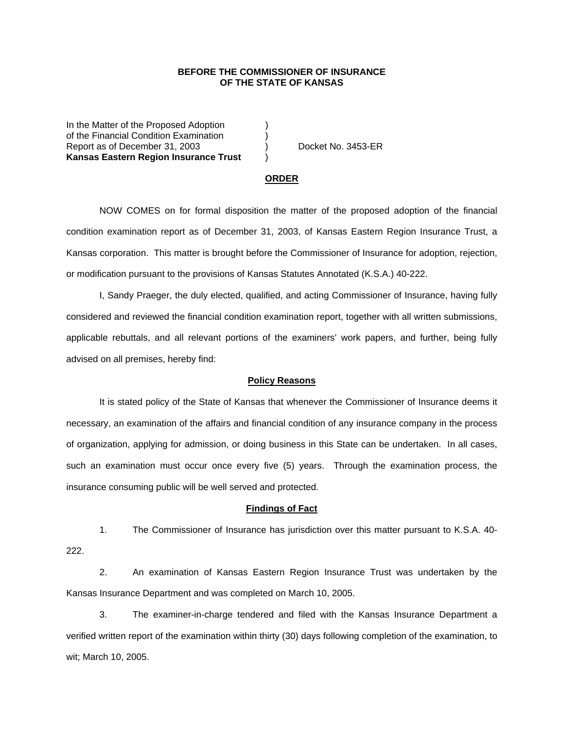## **BEFORE THE COMMISSIONER OF INSURANCE OF THE STATE OF KANSAS**

In the Matter of the Proposed Adoption of the Financial Condition Examination ) Report as of December 31, 2003 (a) Docket No. 3453-ER **Kansas Eastern Region Insurance Trust** )

#### **ORDER**

 NOW COMES on for formal disposition the matter of the proposed adoption of the financial condition examination report as of December 31, 2003, of Kansas Eastern Region Insurance Trust, a Kansas corporation. This matter is brought before the Commissioner of Insurance for adoption, rejection, or modification pursuant to the provisions of Kansas Statutes Annotated (K.S.A.) 40-222.

 I, Sandy Praeger, the duly elected, qualified, and acting Commissioner of Insurance, having fully considered and reviewed the financial condition examination report, together with all written submissions, applicable rebuttals, and all relevant portions of the examiners' work papers, and further, being fully advised on all premises, hereby find:

### **Policy Reasons**

 It is stated policy of the State of Kansas that whenever the Commissioner of Insurance deems it necessary, an examination of the affairs and financial condition of any insurance company in the process of organization, applying for admission, or doing business in this State can be undertaken. In all cases, such an examination must occur once every five (5) years. Through the examination process, the insurance consuming public will be well served and protected.

#### **Findings of Fact**

 1. The Commissioner of Insurance has jurisdiction over this matter pursuant to K.S.A. 40- 222.

 2. An examination of Kansas Eastern Region Insurance Trust was undertaken by the Kansas Insurance Department and was completed on March 10, 2005.

 3. The examiner-in-charge tendered and filed with the Kansas Insurance Department a verified written report of the examination within thirty (30) days following completion of the examination, to wit; March 10, 2005.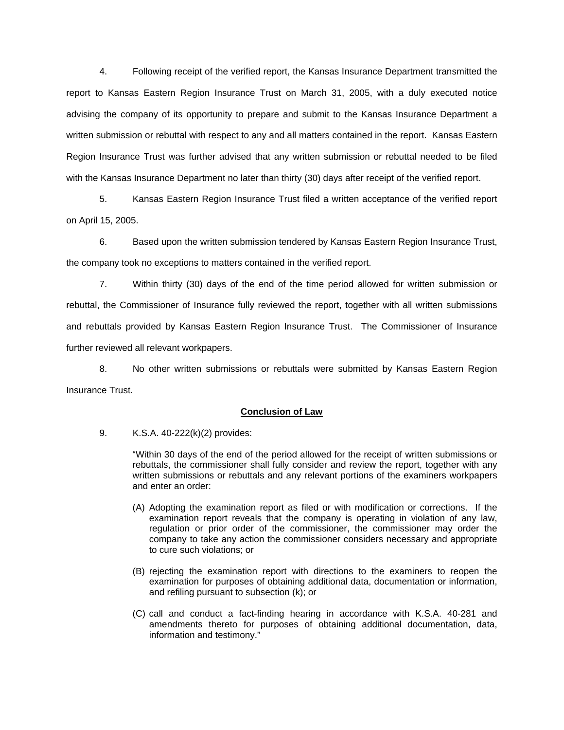4. Following receipt of the verified report, the Kansas Insurance Department transmitted the report to Kansas Eastern Region Insurance Trust on March 31, 2005, with a duly executed notice advising the company of its opportunity to prepare and submit to the Kansas Insurance Department a written submission or rebuttal with respect to any and all matters contained in the report. Kansas Eastern Region Insurance Trust was further advised that any written submission or rebuttal needed to be filed with the Kansas Insurance Department no later than thirty (30) days after receipt of the verified report.

 5. Kansas Eastern Region Insurance Trust filed a written acceptance of the verified report on April 15, 2005.

 6. Based upon the written submission tendered by Kansas Eastern Region Insurance Trust, the company took no exceptions to matters contained in the verified report.

 7. Within thirty (30) days of the end of the time period allowed for written submission or rebuttal, the Commissioner of Insurance fully reviewed the report, together with all written submissions and rebuttals provided by Kansas Eastern Region Insurance Trust. The Commissioner of Insurance further reviewed all relevant workpapers.

 8. No other written submissions or rebuttals were submitted by Kansas Eastern Region Insurance Trust.

## **Conclusion of Law**

9. K.S.A. 40-222(k)(2) provides:

"Within 30 days of the end of the period allowed for the receipt of written submissions or rebuttals, the commissioner shall fully consider and review the report, together with any written submissions or rebuttals and any relevant portions of the examiners workpapers and enter an order:

- (A) Adopting the examination report as filed or with modification or corrections. If the examination report reveals that the company is operating in violation of any law, regulation or prior order of the commissioner, the commissioner may order the company to take any action the commissioner considers necessary and appropriate to cure such violations; or
- (B) rejecting the examination report with directions to the examiners to reopen the examination for purposes of obtaining additional data, documentation or information, and refiling pursuant to subsection (k); or
- (C) call and conduct a fact-finding hearing in accordance with K.S.A. 40-281 and amendments thereto for purposes of obtaining additional documentation, data, information and testimony."